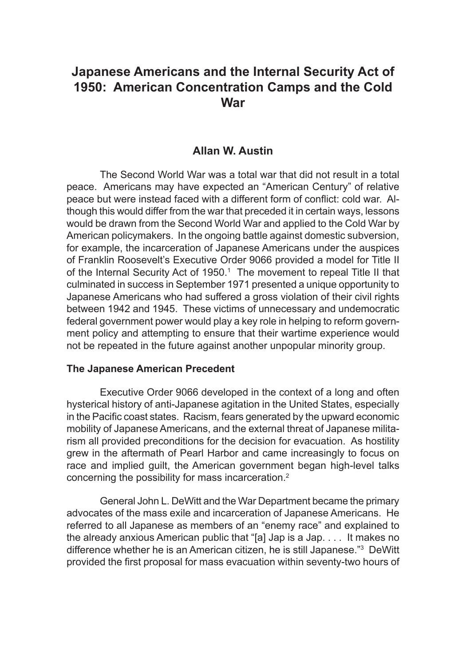# **Japanese Americans and the Internal Security Act of 1950: American Concentration Camps and the Cold War**

### **Allan W. Austin**

The Second World War was a total war that did not result in a total peace. Americans may have expected an "American Century" of relative peace but were instead faced with a different form of conflict: cold war. Although this would differ from the war that preceded it in certain ways, lessons would be drawn from the Second World War and applied to the Cold War by American policymakers. In the ongoing battle against domestic subversion, for example, the incarceration of Japanese Americans under the auspices of Franklin Roosevelt's Executive Order 9066 provided a model for Title II of the Internal Security Act of 1950.<sup>1</sup> The movement to repeal Title II that culminated in success in September 1971 presented a unique opportunity to Japanese Americans who had suffered a gross violation of their civil rights between 1942 and 1945. These victims of unnecessary and undemocratic federal government power would play a key role in helping to reform government policy and attempting to ensure that their wartime experience would not be repeated in the future against another unpopular minority group.

#### **The Japanese American Precedent**

Executive Order 9066 developed in the context of a long and often hysterical history of anti-Japanese agitation in the United States, especially in the Pacific coast states. Racism, fears generated by the upward economic mobility of Japanese Americans, and the external threat of Japanese militarism all provided preconditions for the decision for evacuation. As hostility grew in the aftermath of Pearl Harbor and came increasingly to focus on race and implied guilt, the American government began high-level talks concerning the possibility for mass incarceration.<sup>2</sup>

General John L. DeWitt and the War Department became the primary advocates of the mass exile and incarceration of Japanese Americans. He referred to all Japanese as members of an "enemy race" and explained to the already anxious American public that "[a] Jap is a Jap. . . . It makes no difference whether he is an American citizen, he is still Japanese."3 DeWitt provided the first proposal for mass evacuation within seventy-two hours of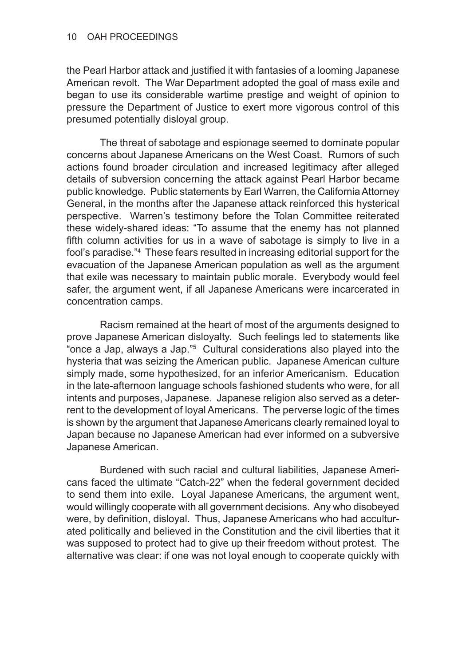the Pearl Harbor attack and justified it with fantasies of a looming Japanese American revolt. The War Department adopted the goal of mass exile and began to use its considerable wartime prestige and weight of opinion to pressure the Department of Justice to exert more vigorous control of this presumed potentially disloyal group.

The threat of sabotage and espionage seemed to dominate popular concerns about Japanese Americans on the West Coast. Rumors of such actions found broader circulation and increased legitimacy after alleged details of subversion concerning the attack against Pearl Harbor became public knowledge. Public statements by Earl Warren, the California Attorney General, in the months after the Japanese attack reinforced this hysterical perspective. Warren's testimony before the Tolan Committee reiterated these widely-shared ideas: "To assume that the enemy has not planned fifth column activities for us in a wave of sabotage is simply to live in a fool's paradise."4 These fears resulted in increasing editorial support for the evacuation of the Japanese American population as well as the argument that exile was necessary to maintain public morale. Everybody would feel safer, the argument went, if all Japanese Americans were incarcerated in concentration camps.

Racism remained at the heart of most of the arguments designed to prove Japanese American disloyalty. Such feelings led to statements like "once a Jap, always a Jap."5 Cultural considerations also played into the hysteria that was seizing the American public. Japanese American culture simply made, some hypothesized, for an inferior Americanism. Education in the late-afternoon language schools fashioned students who were, for all intents and purposes, Japanese. Japanese religion also served as a deterrent to the development of loyal Americans. The perverse logic of the times is shown by the argument that Japanese Americans clearly remained loyal to Japan because no Japanese American had ever informed on a subversive Japanese American.

Burdened with such racial and cultural liabilities, Japanese Americans faced the ultimate "Catch-22" when the federal government decided to send them into exile. Loyal Japanese Americans, the argument went, would willingly cooperate with all government decisions. Any who disobeyed were, by definition, disloyal. Thus, Japanese Americans who had acculturated politically and believed in the Constitution and the civil liberties that it was supposed to protect had to give up their freedom without protest. The alternative was clear: if one was not loyal enough to cooperate quickly with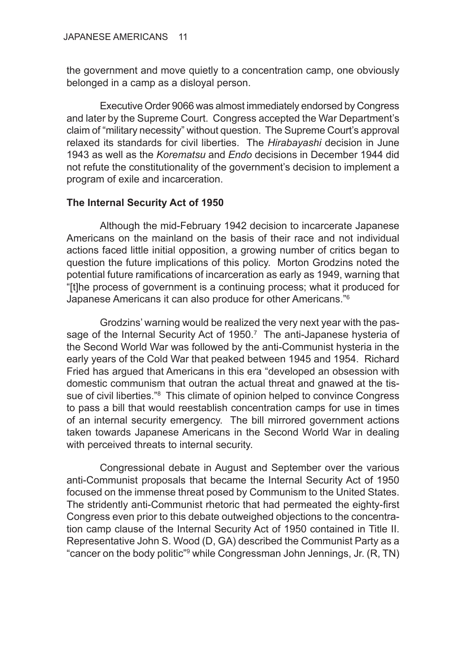the government and move quietly to a concentration camp, one obviously belonged in a camp as a disloyal person.

Executive Order 9066 was almost immediately endorsed by Congress and later by the Supreme Court. Congress accepted the War Department's claim of "military necessity" without question. The Supreme Court's approval relaxed its standards for civil liberties. The *Hirabayashi* decision in June 1943 as well as the *Korematsu* and *Endo* decisions in December 1944 did not refute the constitutionality of the government's decision to implement a program of exile and incarceration.

## **The Internal Security Act of 1950**

Although the mid-February 1942 decision to incarcerate Japanese Americans on the mainland on the basis of their race and not individual actions faced little initial opposition, a growing number of critics began to question the future implications of this policy. Morton Grodzins noted the potential future ramifications of incarceration as early as 1949, warning that "[t]he process of government is a continuing process; what it produced for Japanese Americans it can also produce for other Americans."6

Grodzins' warning would be realized the very next year with the passage of the Internal Security Act of 1950.<sup>7</sup> The anti-Japanese hysteria of the Second World War was followed by the anti-Communist hysteria in the early years of the Cold War that peaked between 1945 and 1954. Richard Fried has argued that Americans in this era "developed an obsession with domestic communism that outran the actual threat and gnawed at the tissue of civil liberties."<sup>8</sup> This climate of opinion helped to convince Congress to pass a bill that would reestablish concentration camps for use in times of an internal security emergency. The bill mirrored government actions taken towards Japanese Americans in the Second World War in dealing with perceived threats to internal security.

Congressional debate in August and September over the various anti-Communist proposals that became the Internal Security Act of 1950 focused on the immense threat posed by Communism to the United States. The stridently anti-Communist rhetoric that had permeated the eighty-first Congress even prior to this debate outweighed objections to the concentration camp clause of the Internal Security Act of 1950 contained in Title II. Representative John S. Wood (D, GA) described the Communist Party as a "cancer on the body politic"9 while Congressman John Jennings, Jr. (R, TN)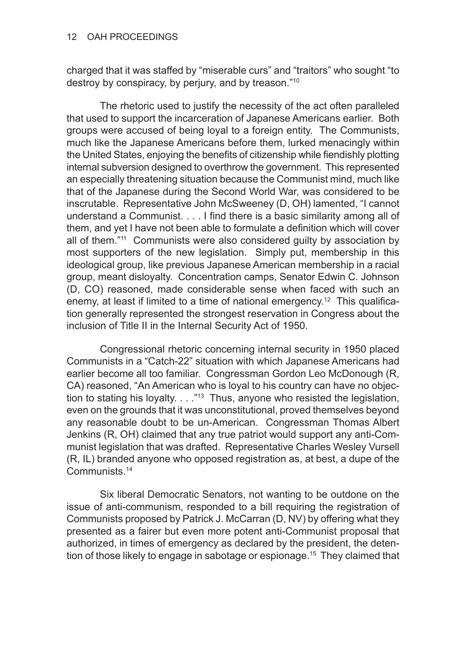charged that it was staffed by "miserable curs" and "traitors" who sought "to destroy by conspiracy, by perjury, and by treason."10

The rhetoric used to justify the necessity of the act often paralleled that used to support the incarceration of Japanese Americans earlier. Both groups were accused of being loyal to a foreign entity. The Communists, much like the Japanese Americans before them, lurked menacingly within the United States, enjoying the benefits of citizenship while fiendishly plotting internal subversion designed to overthrow the government. This represented an especially threatening situation because the Communist mind, much like that of the Japanese during the Second World War, was considered to be inscrutable. Representative John McSweeney (D, OH) lamented, "I cannot understand a Communist. . . . I find there is a basic similarity among all of them, and yet I have not been able to formulate a definition which will cover all of them."11 Communists were also considered guilty by association by most supporters of the new legislation. Simply put, membership in this ideological group, like previous Japanese American membership in a racial group, meant disloyalty. Concentration camps, Senator Edwin C. Johnson (D, CO) reasoned, made considerable sense when faced with such an enemy, at least if limited to a time of national emergency.<sup>12</sup> This qualification generally represented the strongest reservation in Congress about the inclusion of Title II in the Internal Security Act of 1950.

Congressional rhetoric concerning internal security in 1950 placed Communists in a "Catch-22" situation with which Japanese Americans had earlier become all too familiar. Congressman Gordon Leo McDonough (R, CA) reasoned, "An American who is loyal to his country can have no objection to stating his loyalty.  $\ldots$  "13 Thus, anyone who resisted the legislation, even on the grounds that it was unconstitutional, proved themselves beyond any reasonable doubt to be un-American. Congressman Thomas Albert Jenkins (R, OH) claimed that any true patriot would support any anti-Communist legislation that was drafted. Representative Charles Wesley Vursell (R, IL) branded anyone who opposed registration as, at best, a dupe of the Communists.14

Six liberal Democratic Senators, not wanting to be outdone on the issue of anti-communism, responded to a bill requiring the registration of Communists proposed by Patrick J. McCarran (D, NV) by offering what they presented as a fairer but even more potent anti-Communist proposal that authorized, in times of emergency as declared by the president, the detention of those likely to engage in sabotage or espionage.<sup>15</sup> They claimed that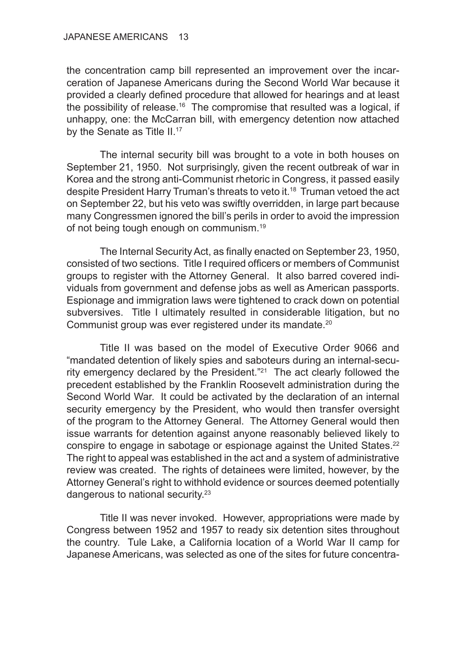the concentration camp bill represented an improvement over the incarceration of Japanese Americans during the Second World War because it provided a clearly defined procedure that allowed for hearings and at least the possibility of release.<sup>16</sup> The compromise that resulted was a logical, if unhappy, one: the McCarran bill, with emergency detention now attached by the Senate as Title II.<sup>17</sup>

The internal security bill was brought to a vote in both houses on September 21, 1950. Not surprisingly, given the recent outbreak of war in Korea and the strong anti-Communist rhetoric in Congress, it passed easily despite President Harry Truman's threats to veto it.<sup>18</sup> Truman vetoed the act on September 22, but his veto was swiftly overridden, in large part because many Congressmen ignored the bill's perils in order to avoid the impression of not being tough enough on communism.19

The Internal Security Act, as finally enacted on September 23, 1950, consisted of two sections. Title I required officers or members of Communist groups to register with the Attorney General. It also barred covered individuals from government and defense jobs as well as American passports. Espionage and immigration laws were tightened to crack down on potential subversives. Title I ultimately resulted in considerable litigation, but no Communist group was ever registered under its mandate.<sup>20</sup>

Title II was based on the model of Executive Order 9066 and "mandated detention of likely spies and saboteurs during an internal-security emergency declared by the President."21 The act clearly followed the precedent established by the Franklin Roosevelt administration during the Second World War. It could be activated by the declaration of an internal security emergency by the President, who would then transfer oversight of the program to the Attorney General. The Attorney General would then issue warrants for detention against anyone reasonably believed likely to conspire to engage in sabotage or espionage against the United States.<sup>22</sup> The right to appeal was established in the act and a system of administrative review was created. The rights of detainees were limited, however, by the Attorney General's right to withhold evidence or sources deemed potentially dangerous to national security.23

Title II was never invoked. However, appropriations were made by Congress between 1952 and 1957 to ready six detention sites throughout the country. Tule Lake, a California location of a World War II camp for Japanese Americans, was selected as one of the sites for future concentra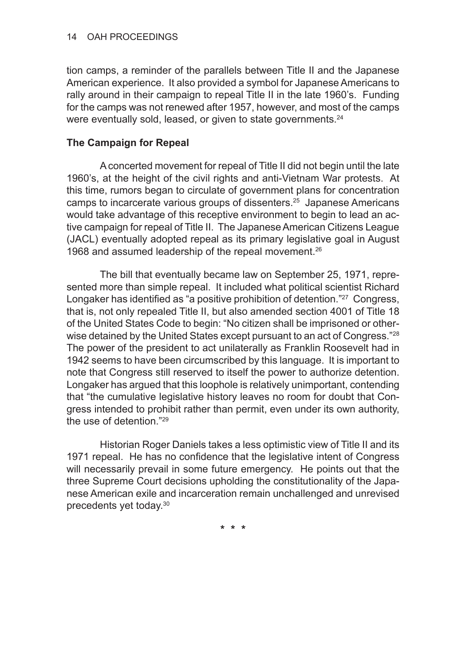tion camps, a reminder of the parallels between Title II and the Japanese American experience. It also provided a symbol for Japanese Americans to rally around in their campaign to repeal Title II in the late 1960's. Funding for the camps was not renewed after 1957, however, and most of the camps were eventually sold, leased, or given to state governments.<sup>24</sup>

## **The Campaign for Repeal**

A concerted movement for repeal of Title II did not begin until the late 1960's, at the height of the civil rights and anti-Vietnam War protests. At this time, rumors began to circulate of government plans for concentration camps to incarcerate various groups of dissenters.25 Japanese Americans would take advantage of this receptive environment to begin to lead an active campaign for repeal of Title II. The Japanese American Citizens League (JACL) eventually adopted repeal as its primary legislative goal in August 1968 and assumed leadership of the repeal movement.<sup>26</sup>

The bill that eventually became law on September 25, 1971, represented more than simple repeal. It included what political scientist Richard Longaker has identified as "a positive prohibition of detention."<sup>27</sup> Congress, that is, not only repealed Title II, but also amended section 4001 of Title 18 of the United States Code to begin: "No citizen shall be imprisoned or otherwise detained by the United States except pursuant to an act of Congress."<sup>28</sup> The power of the president to act unilaterally as Franklin Roosevelt had in 1942 seems to have been circumscribed by this language. It is important to note that Congress still reserved to itself the power to authorize detention. Longaker has argued that this loophole is relatively unimportant, contending that "the cumulative legislative history leaves no room for doubt that Congress intended to prohibit rather than permit, even under its own authority, the use of detention."29

Historian Roger Daniels takes a less optimistic view of Title II and its 1971 repeal. He has no confidence that the legislative intent of Congress will necessarily prevail in some future emergency. He points out that the three Supreme Court decisions upholding the constitutionality of the Japanese American exile and incarceration remain unchallenged and unrevised precedents yet today.30

**\* \* \***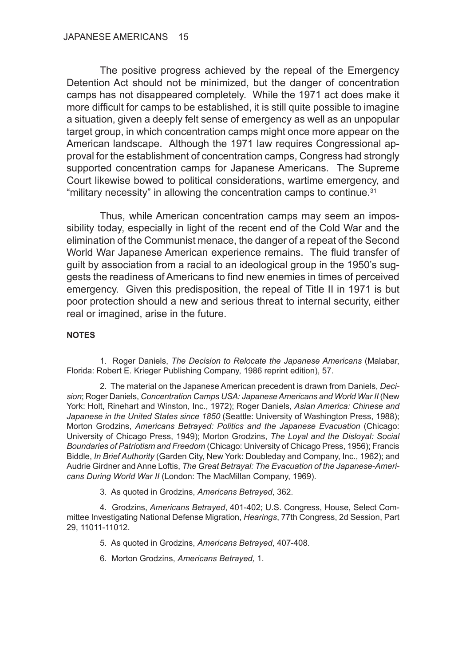The positive progress achieved by the repeal of the Emergency Detention Act should not be minimized, but the danger of concentration camps has not disappeared completely. While the 1971 act does make it more difficult for camps to be established, it is still quite possible to imagine a situation, given a deeply felt sense of emergency as well as an unpopular target group, in which concentration camps might once more appear on the American landscape. Although the 1971 law requires Congressional approval for the establishment of concentration camps, Congress had strongly supported concentration camps for Japanese Americans. The Supreme Court likewise bowed to political considerations, wartime emergency, and "military necessity" in allowing the concentration camps to continue.31

Thus, while American concentration camps may seem an impossibility today, especially in light of the recent end of the Cold War and the elimination of the Communist menace, the danger of a repeat of the Second World War Japanese American experience remains. The fluid transfer of guilt by association from a racial to an ideological group in the 1950's suggests the readiness of Americans to find new enemies in times of perceived emergency. Given this predisposition, the repeal of Title II in 1971 is but poor protection should a new and serious threat to internal security, either real or imagined, arise in the future.

#### **NOTES**

1. Roger Daniels, *The Decision to Relocate the Japanese Americans* (Malabar, Florida: Robert E. Krieger Publishing Company, 1986 reprint edition), 57.

2. The material on the Japanese American precedent is drawn from Daniels, *Decision*; Roger Daniels, *Concentration Camps USA: Japanese Americans and World War II* (New York: Holt, Rinehart and Winston, Inc., 1972); Roger Daniels, *Asian America: Chinese and Japanese in the United States since 1850* (Seattle: University of Washington Press, 1988); Morton Grodzins, *Americans Betrayed: Politics and the Japanese Evacuation* (Chicago: University of Chicago Press, 1949); Morton Grodzins, *The Loyal and the Disloyal: Social Boundaries of Patriotism and Freedom* (Chicago: University of Chicago Press, 1956); Francis Biddle, *In Brief Authority* (Garden City, New York: Doubleday and Company, Inc., 1962); and Audrie Girdner and Anne Loftis, *The Great Betrayal: The Evacuation of the Japanese-Americans During World War II* (London: The MacMillan Company, 1969).

3. As quoted in Grodzins, *Americans Betrayed*, 362.

4. Grodzins, *Americans Betrayed*, 401-402; U.S. Congress, House, Select Committee Investigating National Defense Migration, *Hearings*, 77th Congress, 2d Session, Part 29, 11011-11012.

5. As quoted in Grodzins, *Americans Betrayed*, 407-408.

6. Morton Grodzins, *Americans Betrayed,* 1.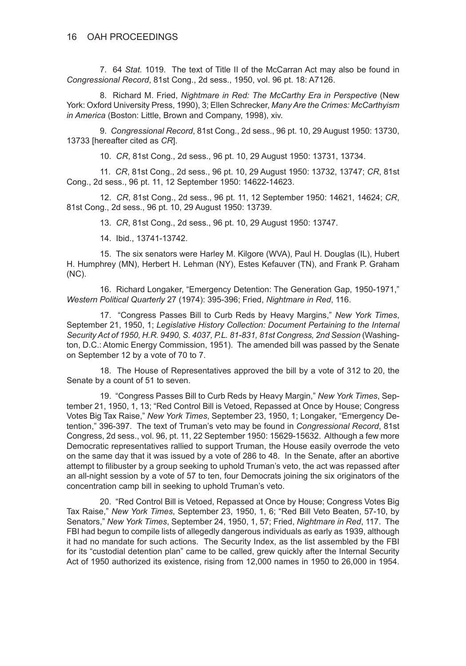7. 64 *Stat.* 1019. The text of Title II of the McCarran Act may also be found in *Congressional Record*, 81st Cong., 2d sess., 1950, vol. 96 pt. 18: A7126.

8. Richard M. Fried, *Nightmare in Red: The McCarthy Era in Perspective* (New York: Oxford University Press, 1990), 3; Ellen Schrecker, *Many Are the Crimes: McCarthyism in America* (Boston: Little, Brown and Company, 1998), xiv.

9. *Congressional Record*, 81st Cong., 2d sess., 96 pt. 10, 29 August 1950: 13730, 13733 [hereafter cited as *CR*].

10. *CR*, 81st Cong., 2d sess., 96 pt. 10, 29 August 1950: 13731, 13734.

11. *CR*, 81st Cong., 2d sess., 96 pt. 10, 29 August 1950: 13732, 13747; *CR*, 81st Cong., 2d sess., 96 pt. 11, 12 September 1950: 14622-14623.

12. *CR*, 81st Cong., 2d sess., 96 pt. 11, 12 September 1950: 14621, 14624; *CR*, 81st Cong., 2d sess., 96 pt. 10, 29 August 1950: 13739.

13. *CR*, 81st Cong., 2d sess., 96 pt. 10, 29 August 1950: 13747.

14. Ibid., 13741-13742.

15. The six senators were Harley M. Kilgore (WVA), Paul H. Douglas (IL), Hubert H. Humphrey (MN), Herbert H. Lehman (NY), Estes Kefauver (TN), and Frank P. Graham (NC).

16. Richard Longaker, "Emergency Detention: The Generation Gap, 1950-1971," *Western Political Quarterly* 27 (1974): 395-396; Fried, *Nightmare in Red*, 116.

17. "Congress Passes Bill to Curb Reds by Heavy Margins," *New York Times*, September 21, 1950, 1; *Legislative History Collection: Document Pertaining to the Internal Security Act of 1950, H.R. 9490, S. 4037, P.L. 81-831, 81st Congress, 2nd Session* (Washington, D.C.: Atomic Energy Commission, 1951). The amended bill was passed by the Senate on September 12 by a vote of 70 to 7.

18. The House of Representatives approved the bill by a vote of 312 to 20, the Senate by a count of 51 to seven.

19. "Congress Passes Bill to Curb Reds by Heavy Margin," *New York Times*, September 21, 1950, 1, 13; "Red Control Bill is Vetoed, Repassed at Once by House; Congress Votes Big Tax Raise," *New York Times*, September 23, 1950, 1; Longaker, "Emergency Detention," 396-397. The text of Truman's veto may be found in *Congressional Record*, 81st Congress, 2d sess., vol. 96, pt. 11, 22 September 1950: 15629-15632. Although a few more Democratic representatives rallied to support Truman, the House easily overrode the veto on the same day that it was issued by a vote of 286 to 48. In the Senate, after an abortive attempt to filibuster by a group seeking to uphold Truman's veto, the act was repassed after an all-night session by a vote of 57 to ten, four Democrats joining the six originators of the concentration camp bill in seeking to uphold Truman's veto.

20. "Red Control Bill is Vetoed, Repassed at Once by House; Congress Votes Big Tax Raise," *New York Times*, September 23, 1950, 1, 6; "Red Bill Veto Beaten, 57-10, by Senators," *New York Times*, September 24, 1950, 1, 57; Fried, *Nightmare in Red*, 117. The FBI had begun to compile lists of allegedly dangerous individuals as early as 1939, although it had no mandate for such actions. The Security Index, as the list assembled by the FBI for its "custodial detention plan" came to be called, grew quickly after the Internal Security Act of 1950 authorized its existence, rising from 12,000 names in 1950 to 26,000 in 1954.